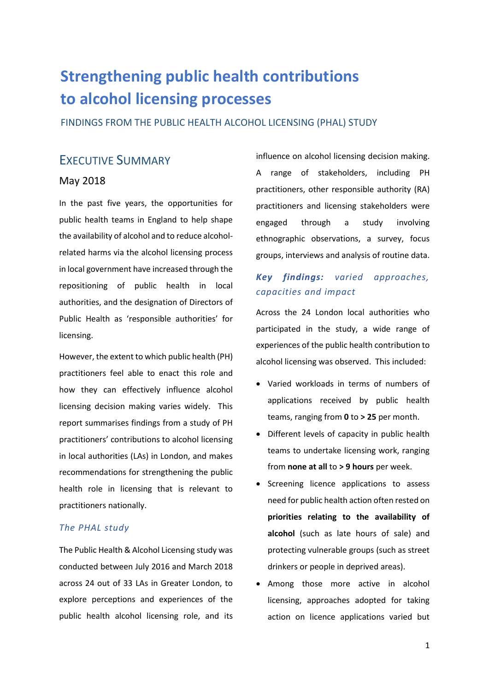# **Strengthening public health contributions to alcohol licensing processes**

FINDINGS FROM THE PUBLIC HEALTH ALCOHOL LICENSING (PHAL) STUDY

## EXECUTIVE SUMMARY

#### May 2018

In the past five years, the opportunities for public health teams in England to help shape the availability of alcohol and to reduce alcoholrelated harms via the alcohol licensing process in local government have increased through the repositioning of public health in local authorities, and the designation of Directors of Public Health as 'responsible authorities' for licensing.

However, the extent to which public health (PH) practitioners feel able to enact this role and how they can effectively influence alcohol licensing decision making varies widely. This report summarises findings from a study of PH practitioners' contributions to alcohol licensing in local authorities (LAs) in London, and makes recommendations for strengthening the public health role in licensing that is relevant to practitioners nationally.

#### *The PHAL study*

The Public Health & Alcohol Licensing study was conducted between July 2016 and March 2018 across 24 out of 33 LAs in Greater London, to explore perceptions and experiences of the public health alcohol licensing role, and its

influence on alcohol licensing decision making. A range of stakeholders, including PH practitioners, other responsible authority (RA) practitioners and licensing stakeholders were engaged through a study involving ethnographic observations, a survey, focus groups, interviews and analysis of routine data.

## *Key findings: varied approaches, capacities and impact*

Across the 24 London local authorities who participated in the study, a wide range of experiences of the public health contribution to alcohol licensing was observed. This included:

- Varied workloads in terms of numbers of applications received by public health teams, ranging from **0** to **> 25** per month.
- Different levels of capacity in public health teams to undertake licensing work, ranging from **none at all** to **> 9 hours** per week.
- Screening licence applications to assess need for public health action often rested on **priorities relating to the availability of alcohol** (such as late hours of sale) and protecting vulnerable groups (such as street drinkers or people in deprived areas).
- Among those more active in alcohol licensing, approaches adopted for taking action on licence applications varied but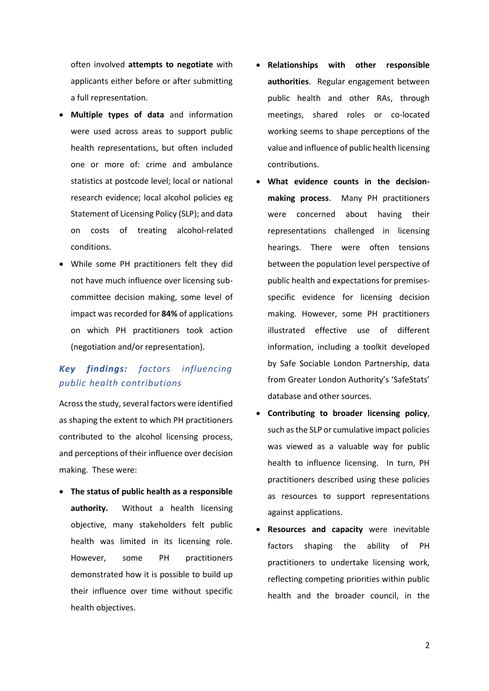often involved **attempts to negotiate** with applicants either before or after submitting a full representation.

- **Multiple types of data** and information were used across areas to support public health representations, but often included one or more of: crime and ambulance statistics at postcode level; local or national research evidence; local alcohol policies eg Statement of Licensing Policy (SLP); and data on costs of treating alcohol-related conditions.
- While some PH practitioners felt they did not have much influence over licensing subcommittee decision making, some level of impact was recorded for **84%** of applications on which PH practitioners took action (negotiation and/or representation).

## *Key findings: factors influencing public health contributions*

Across the study, several factors were identified as shaping the extent to which PH practitioners contributed to the alcohol licensing process, and perceptions of their influence over decision making. These were:

 **The status of public health as a responsible authority.** Without a health licensing objective, many stakeholders felt public health was limited in its licensing role. However, some PH practitioners demonstrated how it is possible to build up their influence over time without specific health objectives.

- **Relationships with other responsible authorities**. Regular engagement between public health and other RAs, through meetings, shared roles or co-located working seems to shape perceptions of the value and influence of public health licensing contributions.
- **What evidence counts in the decisionmaking process**. Many PH practitioners were concerned about having their representations challenged in licensing hearings. There were often tensions between the population level perspective of public health and expectations for premisesspecific evidence for licensing decision making. However, some PH practitioners illustrated effective use of different information, including a toolkit developed by Safe Sociable London Partnership, data from Greater London Authority's 'SafeStats' database and other sources.
- **Contributing to broader licensing policy**, such as the SLP or cumulative impact policies was viewed as a valuable way for public health to influence licensing. In turn, PH practitioners described using these policies as resources to support representations against applications.
- **Resources and capacity** were inevitable factors shaping the ability of PH practitioners to undertake licensing work, reflecting competing priorities within public health and the broader council, in the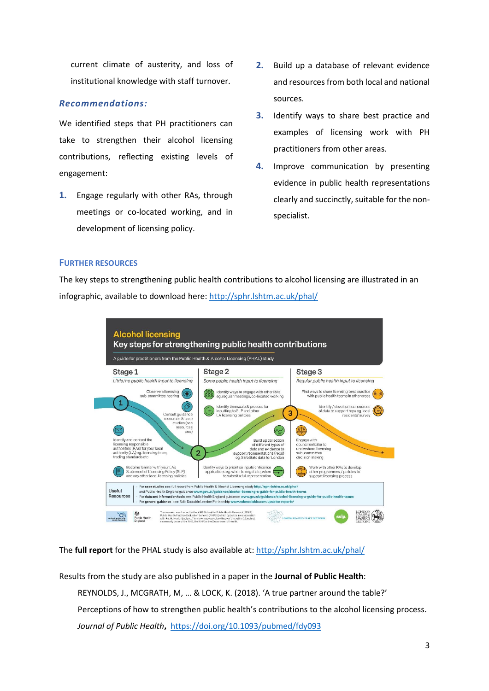current climate of austerity, and loss of institutional knowledge with staff turnover.

#### *Recommendations:*

We identified steps that PH practitioners can take to strengthen their alcohol licensing contributions, reflecting existing levels of engagement:

**1.** Engage regularly with other RAs, through meetings or co-located working, and in development of licensing policy.

- **2.** Build up a database of relevant evidence and resources from both local and national sources.
- **3.** Identify ways to share best practice and examples of licensing work with PH practitioners from other areas.
- **4.** Improve communication by presenting evidence in public health representations clearly and succinctly, suitable for the nonspecialist.

#### **FURTHER RESOURCES**

The key steps to strengthening public health contributions to alcohol licensing are illustrated in an infographic, available to download here:<http://sphr.lshtm.ac.uk/phal/>



#### The **full report** for the PHAL study is also available at:<http://sphr.lshtm.ac.uk/phal/>

Results from the study are also published in a paper in the **Journal of Public Health**:

REYNOLDS, J., MCGRATH, M, … & LOCK, K. (2018). 'A true partner around the table?' Perceptions of how to strengthen public health's contributions to the alcohol licensing process. *Journal of Public Health***,** <https://doi.org/10.1093/pubmed/fdy093>